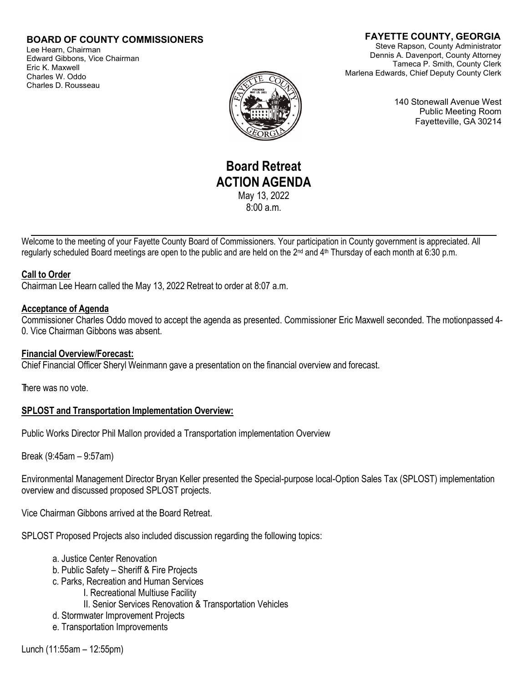## **BOARD OF COUNTY COMMISSIONERS**

Lee Hearn, Chairman Edward Gibbons, Vice Chairman Eric K. Maxwell Charles W. Oddo Charles D. Rousseau

## **FAYETTE COUNTY, GEORGIA**

Steve Rapson, County Administrator Dennis A. Davenport, County Attorney Tameca P. Smith, County Clerk Marlena Edwards, Chief Deputy County Clerk



140 Stonewall Avenue West Public Meeting Room Fayetteville, GA 30214

# **Board Retreat ACTION AGENDA** May 13, 2022

 $8:00a$  m.

Welcome to the meeting of your Fayette County Board of Commissioners. Your participation in County government is appreciated. All regularly scheduled Board meetings are open to the public and are held on the 2<sup>nd</sup> and 4<sup>th</sup> Thursday of each month at 6:30 p.m.

#### **Call to Order**

Chairman Lee Hearn called the May 13, 2022 Retreat to order at 8:07 a.m.

#### **Acceptance of Agenda**

Commissioner Charles Oddo moved to accept the agenda as presented. Commissioner Eric Maxwell seconded. The motionpassed 4- 0. Vice Chairman Gibbons was absent.

### **Financial Overview/Forecast:**

Chief Financial Officer Sheryl Weinmann gave a presentation on the financial overview and forecast.

There was no vote.

### **SPLOST and Transportation Implementation Overview:**

Public Works Director Phil Mallon provided a Transportation implementation Overview

Break (9:45am – 9:57am)

Environmental Management Director Bryan Keller presented the Special-purpose local-Option Sales Tax (SPLOST) implementation overview and discussed proposed SPLOST projects.

Vice Chairman Gibbons arrived at the Board Retreat.

SPLOST Proposed Projects also included discussion regarding the following topics:

- a. Justice Center Renovation
- b. Public Safety Sheriff & Fire Projects
- c. Parks, Recreation and Human Services
	- I. Recreational Multiuse Facility
		- II. Senior Services Renovation & Transportation Vehicles
- d. Stormwater Improvement Projects
- e. Transportation Improvements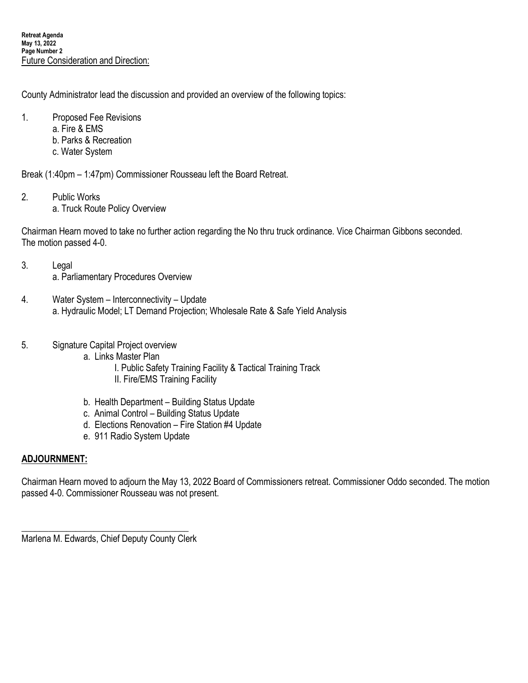County Administrator lead the discussion and provided an overview of the following topics:

- 1. Proposed Fee Revisions
	- a. Fire & EMS
	- b. Parks & Recreation
	- c. Water System

Break (1:40pm – 1:47pm) Commissioner Rousseau left the Board Retreat.

- 2. Public Works
	- a. Truck Route Policy Overview

Chairman Hearn moved to take no further action regarding the No thru truck ordinance. Vice Chairman Gibbons seconded. The motion passed 4-0.

- 3. Legal a. Parliamentary Procedures Overview
- 4. Water System Interconnectivity Update a. Hydraulic Model; LT Demand Projection; Wholesale Rate & Safe Yield Analysis
- 5. Signature Capital Project overview
	- a. Links Master Plan
		- I. Public Safety Training Facility & Tactical Training Track II. Fire/EMS Training Facility
	- b. Health Department Building Status Update
	- c. Animal Control Building Status Update
	- d. Elections Renovation Fire Station #4 Update
	- e. 911 Radio System Update

# **ADJOURNMENT:**

Chairman Hearn moved to adjourn the May 13, 2022 Board of Commissioners retreat. Commissioner Oddo seconded. The motion passed 4-0. Commissioner Rousseau was not present.

\_\_\_\_\_\_\_\_\_\_\_\_\_\_\_\_\_\_\_\_\_\_\_\_\_\_\_\_\_\_\_\_\_\_\_\_\_ Marlena M. Edwards, Chief Deputy County Clerk